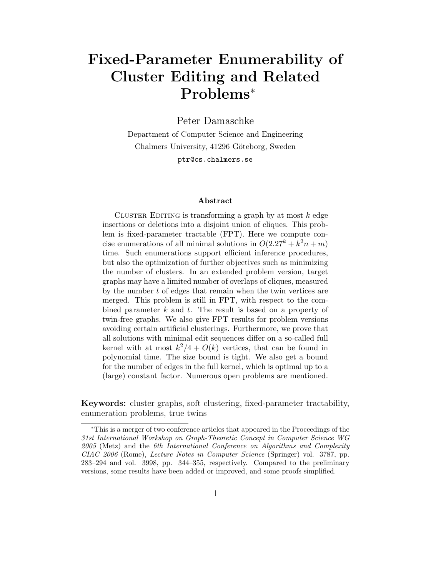# Fixed-Parameter Enumerability of Cluster Editing and Related Problems<sup>∗</sup>

Peter Damaschke

Department of Computer Science and Engineering Chalmers University, 41296 Göteborg, Sweden

ptr@cs.chalmers.se

#### Abstract

CLUSTER EDITING is transforming a graph by at most  $k$  edge insertions or deletions into a disjoint union of cliques. This problem is fixed-parameter tractable (FPT). Here we compute concise enumerations of all minimal solutions in  $O(2.27^k + k^2n + m)$ time. Such enumerations support efficient inference procedures, but also the optimization of further objectives such as minimizing the number of clusters. In an extended problem version, target graphs may have a limited number of overlaps of cliques, measured by the number t of edges that remain when the twin vertices are merged. This problem is still in FPT, with respect to the combined parameter  $k$  and  $t$ . The result is based on a property of twin-free graphs. We also give FPT results for problem versions avoiding certain artificial clusterings. Furthermore, we prove that all solutions with minimal edit sequences differ on a so-called full kernel with at most  $k^2/4 + O(k)$  vertices, that can be found in polynomial time. The size bound is tight. We also get a bound for the number of edges in the full kernel, which is optimal up to a (large) constant factor. Numerous open problems are mentioned.

Keywords: cluster graphs, soft clustering, fixed-parameter tractability, enumeration problems, true twins

<sup>∗</sup>This is a merger of two conference articles that appeared in the Proceedings of the 31st International Workshop on Graph-Theoretic Concept in Computer Science WG 2005 (Metz) and the 6th International Conference on Algorithms and Complexity CIAC 2006 (Rome), Lecture Notes in Computer Science (Springer) vol. 3787, pp. 283–294 and vol. 3998, pp. 344–355, respectively. Compared to the preliminary versions, some results have been added or improved, and some proofs simplified.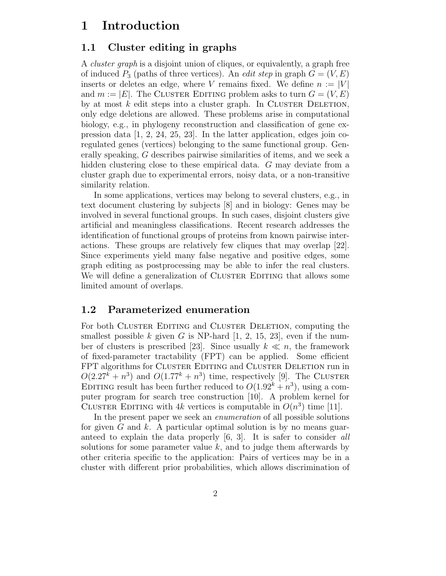## 1 Introduction

### 1.1 Cluster editing in graphs

A cluster graph is a disjoint union of cliques, or equivalently, a graph free of induced  $P_3$  (paths of three vertices). An *edit step* in graph  $G = (V, E)$ inserts or deletes an edge, where V remains fixed. We define  $n := |V|$ and  $m := |E|$ . The CLUSTER EDITING problem asks to turn  $G = (V, E)$ by at most  $k$  edit steps into a cluster graph. In CLUSTER DELETION, only edge deletions are allowed. These problems arise in computational biology, e.g., in phylogeny reconstruction and classification of gene expression data [1, 2, 24, 25, 23]. In the latter application, edges join coregulated genes (vertices) belonging to the same functional group. Generally speaking, G describes pairwise similarities of items, and we seek a hidden clustering close to these empirical data. G may deviate from a cluster graph due to experimental errors, noisy data, or a non-transitive similarity relation.

In some applications, vertices may belong to several clusters, e.g., in text document clustering by subjects [8] and in biology: Genes may be involved in several functional groups. In such cases, disjoint clusters give artificial and meaningless classifications. Recent research addresses the identification of functional groups of proteins from known pairwise interactions. These groups are relatively few cliques that may overlap [22]. Since experiments yield many false negative and positive edges, some graph editing as postprocessing may be able to infer the real clusters. We will define a generalization of CLUSTER EDITING that allows some limited amount of overlaps.

### 1.2 Parameterized enumeration

For both CLUSTER EDITING and CLUSTER DELETION, computing the smallest possible k given G is NP-hard  $[1, 2, 15, 23]$ , even if the number of clusters is prescribed [23]. Since usually  $k \ll n$ , the framework of fixed-parameter tractability (FPT) can be applied. Some efficient FPT algorithms for CLUSTER EDITING and CLUSTER DELETION run in  $O(2.27^k + n^3)$  and  $O(1.77^k + n^3)$  time, respectively [9]. The CLUSTER EDITING result has been further reduced to  $O(1.92^k + n^3)$ , using a computer program for search tree construction [10]. A problem kernel for CLUSTER EDITING with 4k vertices is computable in  $O(n^3)$  time [11].

In the present paper we seek an enumeration of all possible solutions for given  $G$  and  $k$ . A particular optimal solution is by no means guaranteed to explain the data properly [6, 3]. It is safer to consider all solutions for some parameter value  $k$ , and to judge them afterwards by other criteria specific to the application: Pairs of vertices may be in a cluster with different prior probabilities, which allows discrimination of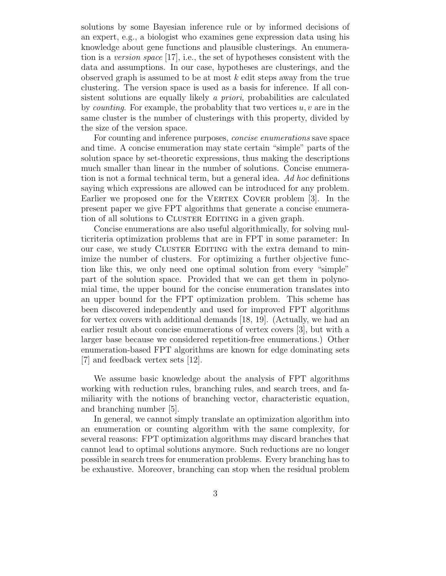solutions by some Bayesian inference rule or by informed decisions of an expert, e.g., a biologist who examines gene expression data using his knowledge about gene functions and plausible clusterings. An enumeration is a version space [17], i.e., the set of hypotheses consistent with the data and assumptions. In our case, hypotheses are clusterings, and the observed graph is assumed to be at most  $k$  edit steps away from the true clustering. The version space is used as a basis for inference. If all consistent solutions are equally likely a priori, probabilities are calculated by *counting*. For example, the probablity that two vertices  $u, v$  are in the same cluster is the number of clusterings with this property, divided by the size of the version space.

For counting and inference purposes, concise enumerations save space and time. A concise enumeration may state certain "simple" parts of the solution space by set-theoretic expressions, thus making the descriptions much smaller than linear in the number of solutions. Concise enumeration is not a formal technical term, but a general idea. Ad hoc definitions saying which expressions are allowed can be introduced for any problem. Earlier we proposed one for the VERTEX COVER problem [3]. In the present paper we give FPT algorithms that generate a concise enumeration of all solutions to CLUSTER EDITING in a given graph.

Concise enumerations are also useful algorithmically, for solving multicriteria optimization problems that are in FPT in some parameter: In our case, we study CLUSTER EDITING with the extra demand to minimize the number of clusters. For optimizing a further objective function like this, we only need one optimal solution from every "simple" part of the solution space. Provided that we can get them in polynomial time, the upper bound for the concise enumeration translates into an upper bound for the FPT optimization problem. This scheme has been discovered independently and used for improved FPT algorithms for vertex covers with additional demands [18, 19]. (Actually, we had an earlier result about concise enumerations of vertex covers [3], but with a larger base because we considered repetition-free enumerations.) Other enumeration-based FPT algorithms are known for edge dominating sets [7] and feedback vertex sets [12].

We assume basic knowledge about the analysis of FPT algorithms working with reduction rules, branching rules, and search trees, and familiarity with the notions of branching vector, characteristic equation, and branching number [5].

In general, we cannot simply translate an optimization algorithm into an enumeration or counting algorithm with the same complexity, for several reasons: FPT optimization algorithms may discard branches that cannot lead to optimal solutions anymore. Such reductions are no longer possible in search trees for enumeration problems. Every branching has to be exhaustive. Moreover, branching can stop when the residual problem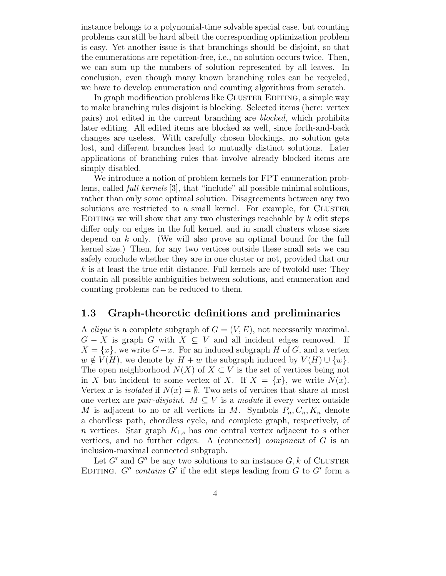instance belongs to a polynomial-time solvable special case, but counting problems can still be hard albeit the corresponding optimization problem is easy. Yet another issue is that branchings should be disjoint, so that the enumerations are repetition-free, i.e., no solution occurs twice. Then, we can sum up the numbers of solution represented by all leaves. In conclusion, even though many known branching rules can be recycled, we have to develop enumeration and counting algorithms from scratch.

In graph modification problems like CLUSTER EDITING, a simple way to make branching rules disjoint is blocking. Selected items (here: vertex pairs) not edited in the current branching are blocked, which prohibits later editing. All edited items are blocked as well, since forth-and-back changes are useless. With carefully chosen blockings, no solution gets lost, and different branches lead to mutually distinct solutions. Later applications of branching rules that involve already blocked items are simply disabled.

We introduce a notion of problem kernels for FPT enumeration problems, called full kernels [3], that "include" all possible minimal solutions, rather than only some optimal solution. Disagreements between any two solutions are restricted to a small kernel. For example, for CLUSTER EDITING we will show that any two clusterings reachable by  $k$  edit steps differ only on edges in the full kernel, and in small clusters whose sizes depend on k only. (We will also prove an optimal bound for the full kernel size.) Then, for any two vertices outside these small sets we can safely conclude whether they are in one cluster or not, provided that our  $k$  is at least the true edit distance. Full kernels are of twofold use: They contain all possible ambiguities between solutions, and enumeration and counting problems can be reduced to them.

#### 1.3 Graph-theoretic definitions and preliminaries

A *clique* is a complete subgraph of  $G = (V, E)$ , not necessarily maximal.  $G - X$  is graph G with  $X \subseteq V$  and all incident edges removed. If  $X = \{x\}$ , we write  $G-x$ . For an induced subgraph H of G, and a vertex  $w \notin V(H)$ , we denote by  $H + w$  the subgraph induced by  $V(H) \cup \{w\}.$ The open neighborhood  $N(X)$  of  $X \subset V$  is the set of vertices being not in X but incident to some vertex of X. If  $X = \{x\}$ , we write  $N(x)$ . Vertex x is *isolated* if  $N(x) = \emptyset$ . Two sets of vertices that share at most one vertex are *pair-disjoint*.  $M \subseteq V$  is a module if every vertex outside M is adjacent to no or all vertices in M. Symbols  $P_n, C_n, K_n$  denote a chordless path, chordless cycle, and complete graph, respectively, of n vertices. Star graph  $K_{1,s}$  has one central vertex adjacent to s other vertices, and no further edges. A (connected) component of G is an inclusion-maximal connected subgraph.

Let  $G'$  and  $G''$  be any two solutions to an instance  $G, k$  of CLUSTER EDITING.  $G''$  contains  $G'$  if the edit steps leading from  $G$  to  $G'$  form a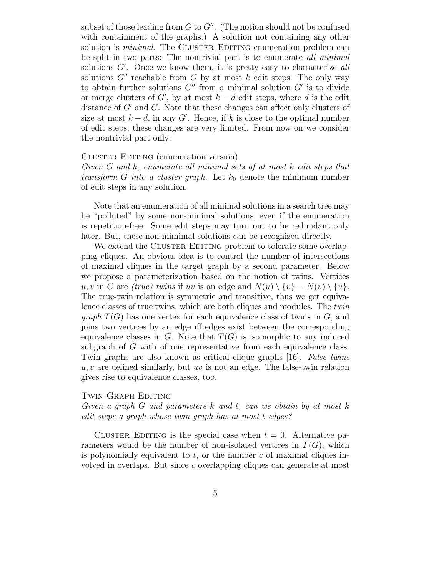subset of those leading from  $G$  to  $G''$ . (The notion should not be confused with containment of the graphs.) A solution not containing any other solution is *minimal*. The CLUSTER EDITING enumeration problem can be split in two parts: The nontrivial part is to enumerate all minimal solutions  $G'$ . Once we know them, it is pretty easy to characterize all solutions  $G''$  reachable from G by at most k edit steps: The only way to obtain further solutions  $G''$  from a minimal solution  $G'$  is to divide or merge clusters of G', by at most  $k - d$  edit steps, where d is the edit distance of G′ and G. Note that these changes can affect only clusters of size at most  $k - d$ , in any G'. Hence, if k is close to the optimal number of edit steps, these changes are very limited. From now on we consider the nontrivial part only:

#### CLUSTER EDITING (enumeration version)

Given G and k, enumerate all minimal sets of at most k edit steps that transform G into a cluster graph. Let  $k_0$  denote the minimum number of edit steps in any solution.

Note that an enumeration of all minimal solutions in a search tree may be "polluted" by some non-minimal solutions, even if the enumeration is repetition-free. Some edit steps may turn out to be redundant only later. But, these non-mimimal solutions can be recognized directly.

We extend the CLUSTER EDITING problem to tolerate some overlapping cliques. An obvious idea is to control the number of intersections of maximal cliques in the target graph by a second parameter. Below we propose a parameterization based on the notion of twins. Vertices u, v in G are (true) twins if uv is an edge and  $N(u) \setminus \{v\} = N(v) \setminus \{u\}.$ The true-twin relation is symmetric and transitive, thus we get equivalence classes of true twins, which are both cliques and modules. The twin *graph*  $T(G)$  has one vertex for each equivalence class of twins in G, and joins two vertices by an edge iff edges exist between the corresponding equivalence classes in G. Note that  $T(G)$  is isomorphic to any induced subgraph of G with of one representative from each equivalence class. Twin graphs are also known as critical clique graphs [16]. False twins  $u, v$  are defined similarly, but uv is not an edge. The false-twin relation gives rise to equivalence classes, too.

#### Twin Graph Editing

Given a graph G and parameters k and t, can we obtain by at most k edit steps a graph whose twin graph has at most t edges?

CLUSTER EDITING is the special case when  $t = 0$ . Alternative parameters would be the number of non-isolated vertices in  $T(G)$ , which is polynomially equivalent to  $t$ , or the number  $c$  of maximal cliques involved in overlaps. But since c overlapping cliques can generate at most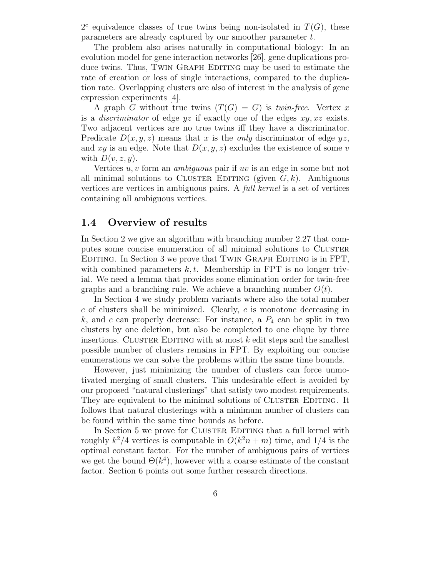$2^c$  equivalence classes of true twins being non-isolated in  $T(G)$ , these parameters are already captured by our smoother parameter t.

The problem also arises naturally in computational biology: In an evolution model for gene interaction networks [26], gene duplications produce twins. Thus, TWIN GRAPH EDITING may be used to estimate the rate of creation or loss of single interactions, compared to the duplication rate. Overlapping clusters are also of interest in the analysis of gene expression experiments [4].

A graph G without true twins  $(T(G) = G)$  is *twin-free.* Vertex x is a *discriminator* of edge  $yz$  if exactly one of the edges  $xy, xz$  exists. Two adjacent vertices are no true twins iff they have a discriminator. Predicate  $D(x, y, z)$  means that x is the *only* discriminator of edge  $yz$ , and xy is an edge. Note that  $D(x, y, z)$  excludes the existence of some v with  $D(v, z, y)$ .

Vertices  $u, v$  form an *ambiguous* pair if  $uv$  is an edge in some but not all minimal solutions to CLUSTER EDITING (given  $G, k$ ). Ambiguous vertices are vertices in ambiguous pairs. A full kernel is a set of vertices containing all ambiguous vertices.

#### 1.4 Overview of results

In Section 2 we give an algorithm with branching number 2.27 that computes some concise enumeration of all minimal solutions to CLUSTER EDITING. In Section 3 we prove that TWIN GRAPH EDITING is in FPT, with combined parameters  $k, t$ . Membership in FPT is no longer trivial. We need a lemma that provides some elimination order for twin-free graphs and a branching rule. We achieve a branching number  $O(t)$ .

In Section 4 we study problem variants where also the total number  $c$  of clusters shall be minimized. Clearly,  $c$  is monotone decreasing in k, and c can properly decrease: For instance, a  $P_4$  can be split in two clusters by one deletion, but also be completed to one clique by three insertions. CLUSTER EDITING with at most  $k$  edit steps and the smallest possible number of clusters remains in FPT. By exploiting our concise enumerations we can solve the problems within the same time bounds.

However, just minimizing the number of clusters can force unmotivated merging of small clusters. This undesirable effect is avoided by our proposed "natural clusterings" that satisfy two modest requirements. They are equivalent to the minimal solutions of CLUSTER EDITING. It follows that natural clusterings with a minimum number of clusters can be found within the same time bounds as before.

In Section 5 we prove for CLUSTER EDITING that a full kernel with roughly  $k^2/4$  vertices is computable in  $O(k^2n + m)$  time, and  $1/4$  is the optimal constant factor. For the number of ambiguous pairs of vertices we get the bound  $\Theta(k^4)$ , however with a coarse estimate of the constant factor. Section 6 points out some further research directions.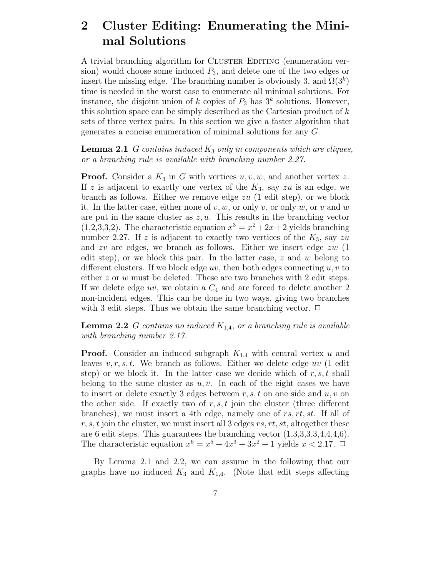## 2 Cluster Editing: Enumerating the Minimal Solutions

A trivial branching algorithm for CLUSTER EDITING (enumeration version) would choose some induced  $P_3$ , and delete one of the two edges or insert the missing edge. The branching number is obviously 3, and  $\Omega(3^k)$ time is needed in the worst case to enumerate all minimal solutions. For instance, the disjoint union of k copies of  $P_3$  has  $3^k$  solutions. However, this solution space can be simply described as the Cartesian product of  $k$ sets of three vertex pairs. In this section we give a faster algorithm that generates a concise enumeration of minimal solutions for any G.

**Lemma 2.1** G contains induced  $K_3$  only in components which are cliques, or a branching rule is available with branching number 2.27.

**Proof.** Consider a  $K_3$  in G with vertices  $u, v, w$ , and another vertex z. If z is adjacent to exactly one vertex of the  $K_3$ , say zu is an edge, we branch as follows. Either we remove edge  $zu$  (1 edit step), or we block it. In the latter case, either none of  $v, w$ , or only v, or only w, or v and w are put in the same cluster as  $z, u$ . This results in the branching vector  $(1,2,3,3,2)$ . The characteristic equation  $x^3 = x^2 + 2x + 2$  yields branching number 2.27. If z is adjacent to exactly two vertices of the  $K_3$ , say zu and zv are edges, we branch as follows. Either we insert edge zw (1 edit step), or we block this pair. In the latter case,  $z$  and w belong to different clusters. If we block edge  $uv$ , then both edges connecting  $u, v$  to either z or w must be deleted. These are two branches with 2 edit steps. If we delete edge  $uv$ , we obtain a  $C_4$  and are forced to delete another 2 non-incident edges. This can be done in two ways, giving two branches with 3 edit steps. Thus we obtain the same branching vector.  $\Box$ 

**Lemma 2.2** G contains no induced  $K_{1,4}$ , or a branching rule is available with branching number 2.17.

**Proof.** Consider an induced subgraph  $K_{1,4}$  with central vertex u and leaves  $v, r, s, t$ . We branch as follows. Either we delete edge uv (1 edit step) or we block it. In the latter case we decide which of  $r, s, t$  shall belong to the same cluster as  $u, v$ . In each of the eight cases we have to insert or delete exactly 3 edges between  $r, s, t$  on one side and  $u, v$  on the other side. If exactly two of  $r, s, t$  join the cluster (three different branches), we must insert a 4th edge, namely one of rs, rt, st. If all of  $r, s, t$  join the cluster, we must insert all 3 edges  $rs, rt, st$ , altogether these are 6 edit steps. This guarantees the branching vector (1,3,3,3,3,4,4,4,6). The characteristic equation  $x^6 = x^5 + 4x^3 + 3x^2 + 1$  yields  $x < 2.17$ .  $\Box$ 

By Lemma 2.1 and 2.2, we can assume in the following that our graphs have no induced  $K_3$  and  $K_{1,4}$ . (Note that edit steps affecting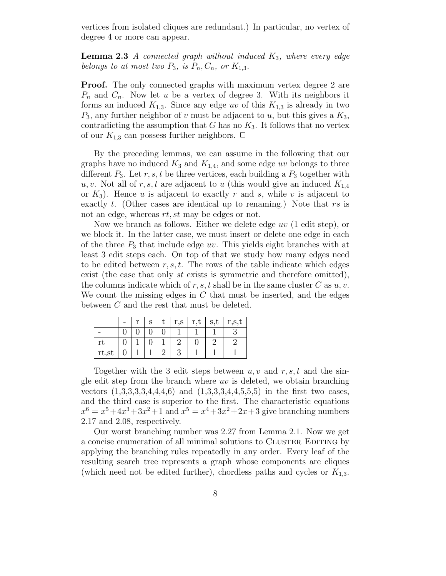vertices from isolated cliques are redundant.) In particular, no vertex of degree 4 or more can appear.

**Lemma 2.3** A connected graph without induced  $K_3$ , where every edge belongs to at most two  $P_3$ , is  $P_n, C_n$ , or  $K_{1,3}$ .

**Proof.** The only connected graphs with maximum vertex degree 2 are  $P_n$  and  $C_n$ . Now let u be a vertex of degree 3. With its neighbors it forms an induced  $K_{1,3}$ . Since any edge uv of this  $K_{1,3}$  is already in two  $P_3$ , any further neighbor of v must be adjacent to u, but this gives a  $K_3$ , contradicting the assumption that  $G$  has no  $K_3$ . It follows that no vertex of our  $K_{1,3}$  can possess further neighbors.  $\Box$ 

By the preceding lemmas, we can assume in the following that our graphs have no induced  $K_3$  and  $K_{1,4}$ , and some edge uv belongs to three different  $P_3$ . Let  $r, s, t$  be three vertices, each building a  $P_3$  together with u, v. Not all of r, s, t are adjacent to u (this would give an induced  $K_{1,4}$ or  $K_3$ ). Hence u is adjacent to exactly r and s, while v is adjacent to exactly t. (Other cases are identical up to renaming.) Note that rs is not an edge, whereas rt, st may be edges or not.

Now we branch as follows. Either we delete edge uv (1 edit step), or we block it. In the latter case, we must insert or delete one edge in each of the three  $P_3$  that include edge uv. This yields eight branches with at least 3 edit steps each. On top of that we study how many edges need to be edited between  $r, s, t$ . The rows of the table indicate which edges exist (the case that only st exists is symmetric and therefore omitted), the columns indicate which of r, s, t shall be in the same cluster C as  $u, v$ . We count the missing edges in  $C$  that must be inserted, and the edges between  $C$  and the rest that must be deleted.

|                   | r |  | $r_{\rm s}$ | r,t | s,t | $r_{\rm s}$ , t |
|-------------------|---|--|-------------|-----|-----|-----------------|
|                   |   |  |             |     |     |                 |
| rt                |   |  |             |     |     |                 |
| $_\mathrm{rt,st}$ |   |  |             |     |     |                 |

Together with the 3 edit steps between  $u, v$  and  $r, s, t$  and the single edit step from the branch where  $uv$  is deleted, we obtain branching vectors  $(1,3,3,3,3,4,4,4,6)$  and  $(1,3,3,3,4,4,5,5,5)$  in the first two cases, and the third case is superior to the first. The characteristic equations  $x^6 = x^5 + 4x^3 + 3x^2 + 1$  and  $x^5 = x^4 + 3x^2 + 2x + 3$  give branching numbers 2.17 and 2.08, respectively.

Our worst branching number was 2.27 from Lemma 2.1. Now we get a concise enumeration of all minimal solutions to CLUSTER EDITING by applying the branching rules repeatedly in any order. Every leaf of the resulting search tree represents a graph whose components are cliques (which need not be edited further), chordless paths and cycles or  $K_{1,3}$ .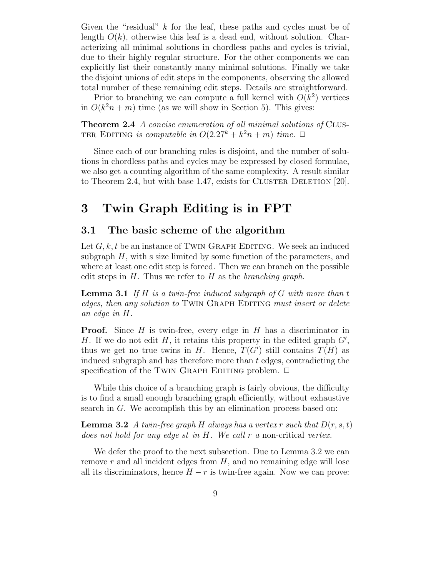Given the "residual"  $k$  for the leaf, these paths and cycles must be of length  $O(k)$ , otherwise this leaf is a dead end, without solution. Characterizing all minimal solutions in chordless paths and cycles is trivial, due to their highly regular structure. For the other components we can explicitly list their constantly many minimal solutions. Finally we take the disjoint unions of edit steps in the components, observing the allowed total number of these remaining edit steps. Details are straightforward.

Prior to branching we can compute a full kernel with  $O(k^2)$  vertices in  $O(k^2n + m)$  time (as we will show in Section 5). This gives:

Theorem 2.4 A concise enumeration of all minimal solutions of CLUS-TER EDITING is computable in  $O(2.27^k + k^2n + m)$  time.  $\Box$ 

Since each of our branching rules is disjoint, and the number of solutions in chordless paths and cycles may be expressed by closed formulae, we also get a counting algorithm of the same complexity. A result similar to Theorem 2.4, but with base 1.47, exists for CLUSTER DELETION [20].

## 3 Twin Graph Editing is in FPT

### 3.1 The basic scheme of the algorithm

Let  $G, k, t$  be an instance of TWIN GRAPH EDITING. We seek an induced subgraph  $H$ , with s size limited by some function of the parameters, and where at least one edit step is forced. Then we can branch on the possible edit steps in  $H$ . Thus we refer to  $H$  as the branching graph.

**Lemma 3.1** If H is a twin-free induced subgraph of G with more than t edges, then any solution to TWIN GRAPH EDITING must insert or delete an edge in H.

**Proof.** Since  $H$  is twin-free, every edge in  $H$  has a discriminator in H. If we do not edit H, it retains this property in the edited graph  $G'$ , thus we get no true twins in H. Hence,  $T(G')$  still contains  $T(H)$  as induced subgraph and has therefore more than  $t$  edges, contradicting the specification of the TWIN GRAPH EDITING problem.  $\Box$ 

While this choice of a branching graph is fairly obvious, the difficulty is to find a small enough branching graph efficiently, without exhaustive search in G. We accomplish this by an elimination process based on:

**Lemma 3.2** A twin-free graph H always has a vertex r such that  $D(r, s, t)$ does not hold for any edge st in  $H$ . We call  $r$  a non-critical vertex.

We defer the proof to the next subsection. Due to Lemma 3.2 we can remove  $r$  and all incident edges from  $H$ , and no remaining edge will lose all its discriminators, hence  $H - r$  is twin-free again. Now we can prove: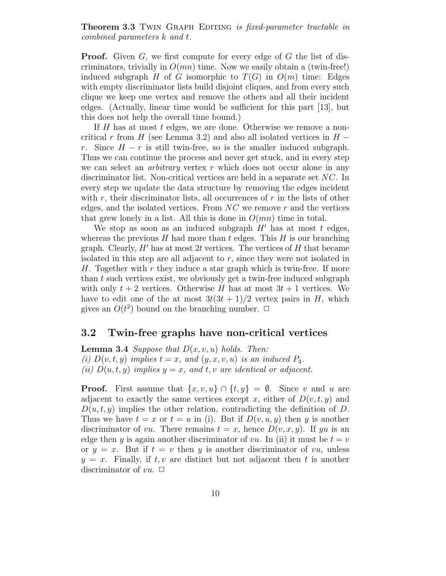**Theorem 3.3** TWIN GRAPH EDITING is fixed-parameter tractable in combined parameters k and t.

**Proof.** Given G, we first compute for every edge of G the list of discriminators, trivially in  $O(mn)$  time. Now we easily obtain a (twin-free!) induced subgraph  $H$  of  $G$  isomorphic to  $T(G)$  in  $O(m)$  time: Edges with empty discriminator lists build disjoint cliques, and from every such clique we keep one vertex and remove the others and all their incident edges. (Actually, linear time would be sufficient for this part [13], but this does not help the overall time bound.)

If  $H$  has at most  $t$  edges, we are done. Otherwise we remove a noncritical r from H (see Lemma 3.2) and also all isolated vertices in  $H$ r. Since  $H - r$  is still twin-free, so is the smaller induced subgraph. Thus we can continue the process and never get stuck, and in every step we can select an *arbitrary* vertex  $r$  which does not occur alone in any discriminator list. Non-critical vertices are held in a separate set NC. In every step we update the data structure by removing the edges incident with r, their discriminator lists, all occurrences of r in the lists of other edges, and the isolated vertices. From  $NC$  we remove r and the vertices that grew lonely in a list. All this is done in  $O(mn)$  time in total.

We stop as soon as an induced subgraph  $H'$  has at most t edges, whereas the previous  $H$  had more than  $t$  edges. This  $H$  is our branching graph. Clearly,  $H'$  has at most 2t vertices. The vertices of  $H$  that became isolated in this step are all adjacent to r, since they were not isolated in H. Together with  $r$  they induce a star graph which is twin-free. If more than t such vertices exist, we obviously get a twin-free induced subgraph with only  $t + 2$  vertices. Otherwise H has at most  $3t + 1$  vertices. We have to edit one of the at most  $3t(3t + 1)/2$  vertex pairs in H, which gives an  $O(t^2)$  bound on the branching number.  $\Box$ 

#### 3.2 Twin-free graphs have non-critical vertices

**Lemma 3.4** Suppose that  $D(x, v, u)$  holds. Then: (i)  $D(v, t, y)$  implies  $t = x$ , and  $(y, x, v, u)$  is an induced  $P_4$ . (ii)  $D(u, t, y)$  implies  $y = x$ , and  $t, v$  are identical or adjacent.

**Proof.** First assume that  $\{x, v, u\} \cap \{t, y\} = \emptyset$ . Since v and u are adjacent to exactly the same vertices except x, either of  $D(v, t, y)$  and  $D(u, t, y)$  implies the other relation, contradicting the definition of D. Thus we have  $t = x$  or  $t = u$  in (i). But if  $D(v, u, y)$  then y is another discriminator of vu. There remains  $t = x$ , hence  $D(v, x, y)$ . If yu is an edge then y is again another discriminator of vu. In (ii) it must be  $t = v$ or  $y = x$ . But if  $t = v$  then y is another discriminator of vu, unless  $y = x$ . Finally, if t, v are distinct but not adjacent then t is another discriminator of  $vu$ .  $\Box$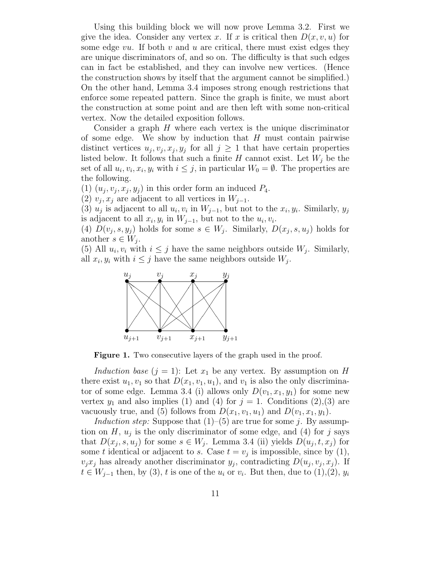Using this building block we will now prove Lemma 3.2. First we give the idea. Consider any vertex x. If x is critical then  $D(x, v, u)$  for some edge vu. If both v and u are critical, there must exist edges they are unique discriminators of, and so on. The difficulty is that such edges can in fact be established, and they can involve new vertices. (Hence the construction shows by itself that the argument cannot be simplified.) On the other hand, Lemma 3.4 imposes strong enough restrictions that enforce some repeated pattern. Since the graph is finite, we must abort the construction at some point and are then left with some non-critical vertex. Now the detailed exposition follows.

Consider a graph  $H$  where each vertex is the unique discriminator of some edge. We show by induction that  $H$  must contain pairwise distinct vertices  $u_j, v_j, x_j, y_j$  for all  $j \geq 1$  that have certain properties listed below. It follows that such a finite H cannot exist. Let  $W_i$  be the set of all  $u_i, v_i, x_i, y_i$  with  $i \leq j$ , in particular  $W_0 = \emptyset$ . The properties are the following.

 $(1)$   $(u_j, v_j, x_j, y_j)$  in this order form an induced  $P_4$ .

(2)  $v_j, x_j$  are adjacent to all vertices in  $W_{j-1}$ .

(3)  $u_j$  is adjacent to all  $u_i, v_i$  in  $W_{j-1}$ , but not to the  $x_i, y_i$ . Similarly,  $y_j$ is adjacent to all  $x_i, y_i$  in  $W_{j-1}$ , but not to the  $u_i, v_i$ .

(4)  $D(v_j, s, y_j)$  holds for some  $s \in W_j$ . Similarly,  $D(x_j, s, u_j)$  holds for another  $s \in W_j$ .

(5) All  $u_i, v_i$  with  $i \leq j$  have the same neighbors outside  $W_j$ . Similarly, all  $x_i, y_i$  with  $i \leq j$  have the same neighbors outside  $W_j$ .



Figure 1. Two consecutive layers of the graph used in the proof.

Induction base  $(j = 1)$ : Let  $x_1$  be any vertex. By assumption on H there exist  $u_1, v_1$  so that  $D(x_1, v_1, u_1)$ , and  $v_1$  is also the only discriminator of some edge. Lemma 3.4 (i) allows only  $D(v_1, x_1, y_1)$  for some new vertex  $y_1$  and also implies (1) and (4) for  $j = 1$ . Conditions (2), (3) are vacuously true, and (5) follows from  $D(x_1, v_1, u_1)$  and  $D(v_1, x_1, y_1)$ .

Induction step: Suppose that  $(1)$ – $(5)$  are true for some j. By assumption on  $H$ ,  $u_j$  is the only discriminator of some edge, and (4) for j says that  $D(x_j, s, u_j)$  for some  $s \in W_j$ . Lemma 3.4 (ii) yields  $D(u_j, t, x_j)$  for some t identical or adjacent to s. Case  $t = v_j$  is impossible, since by (1),  $v_j x_j$  has already another discriminator  $y_j$ , contradicting  $D(u_j, v_j, x_j)$ . If  $t \in W_{j-1}$  then, by (3), t is one of the  $u_i$  or  $v_i$ . But then, due to (1),(2),  $y_i$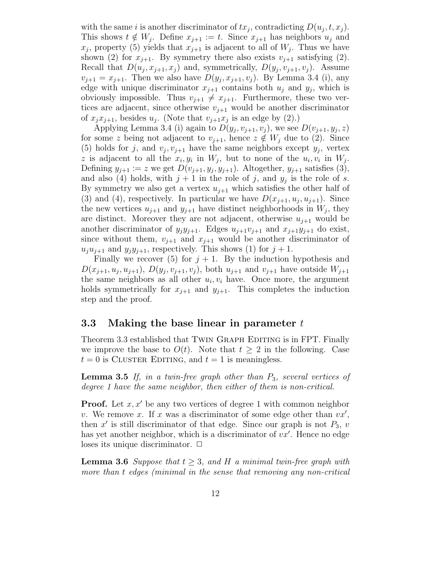with the same *i* is another discriminator of  $tx_j$ , contradicting  $D(u_j, t, x_j)$ . This shows  $t \notin W_j$ . Define  $x_{j+1} := t$ . Since  $x_{j+1}$  has neighbors  $u_j$  and  $x_j$ , property (5) yields that  $x_{j+1}$  is adjacent to all of  $W_j$ . Thus we have shown (2) for  $x_{j+1}$ . By symmetry there also exists  $v_{j+1}$  satisfying (2). Recall that  $D(u_j, x_{j+1}, x_j)$  and, symmetrically,  $D(y_j, v_{j+1}, v_j)$ . Assume  $v_{j+1} = x_{j+1}$ . Then we also have  $D(y_j, x_{j+1}, v_j)$ . By Lemma 3.4 (i), any edge with unique discriminator  $x_{j+1}$  contains both  $u_j$  and  $y_j$ , which is obviously impossible. Thus  $v_{j+1} \neq x_{j+1}$ . Furthermore, these two vertices are adjacent, since otherwise  $v_{i+1}$  would be another discriminator of  $x_j x_{j+1}$ , besides  $u_j$ . (Note that  $v_{j+1} x_j$  is an edge by (2).)

Applying Lemma 3.4 (i) again to  $D(y_j, v_{j+1}, v_j)$ , we see  $D(v_{j+1}, y_j, z)$ for some z being not adjacent to  $v_{j+1}$ , hence  $z \notin W_j$  due to (2). Since (5) holds for j, and  $v_j, v_{j+1}$  have the same neighbors except  $y_j$ , vertex z is adjacent to all the  $x_i, y_i$  in  $W_j$ , but to none of the  $u_i, v_i$  in  $W_j$ . Defining  $y_{j+1} := z$  we get  $D(v_{j+1}, y_j, y_{j+1})$ . Altogether,  $y_{j+1}$  satisfies (3), and also (4) holds, with  $j+1$  in the role of j, and  $y_j$  is the role of s. By symmetry we also get a vertex  $u_{i+1}$  which satisfies the other half of (3) and (4), respectively. In particular we have  $D(x_{j+1}, u_j, u_{j+1})$ . Since the new vertices  $u_{j+1}$  and  $y_{j+1}$  have distinct neighborhoods in  $W_j$ , they are distinct. Moreover they are not adjacent, otherwise  $u_{j+1}$  would be another discriminator of  $y_jy_{j+1}$ . Edges  $u_{j+1}v_{j+1}$  and  $x_{j+1}y_{j+1}$  do exist, since without them,  $v_{j+1}$  and  $x_{j+1}$  would be another discriminator of  $u_j u_{j+1}$  and  $y_j y_{j+1}$ , respectively. This shows (1) for  $j+1$ .

Finally we recover (5) for  $j + 1$ . By the induction hypothesis and  $D(x_{j+1}, u_j, u_{j+1}), D(y_j, v_{j+1}, v_j)$ , both  $u_{j+1}$  and  $v_{j+1}$  have outside  $W_{j+1}$ the same neighbors as all other  $u_i, v_i$  have. Once more, the argument holds symmetrically for  $x_{j+1}$  and  $y_{j+1}$ . This completes the induction step and the proof.

### 3.3 Making the base linear in parameter  $t$

Theorem 3.3 established that TWIN GRAPH EDITING is in FPT. Finally we improve the base to  $O(t)$ . Note that  $t \geq 2$  in the following. Case  $t = 0$  is CLUSTER EDITING, and  $t = 1$  is meaningless.

**Lemma 3.5** If, in a twin-free graph other than  $P_3$ , several vertices of degree 1 have the same neighbor, then either of them is non-critical.

**Proof.** Let  $x, x'$  be any two vertices of degree 1 with common neighbor v. We remove x. If x was a discriminator of some edge other than  $vx'$ , then  $x'$  is still discriminator of that edge. Since our graph is not  $P_3$ , v has yet another neighbor, which is a discriminator of  $vx'$ . Hence no edge loses its unique discriminator.  $\Box$ 

**Lemma 3.6** Suppose that  $t > 3$ , and H a minimal twin-free graph with more than t edges (minimal in the sense that removing any non-critical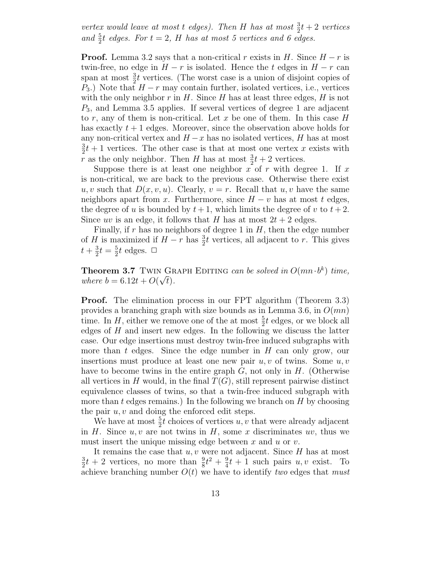vertex would leave at most t edges). Then H has at most  $\frac{3}{2}t + 2$  vertices and  $\frac{5}{2}t$  edges. For  $t = 2$ , H has at most 5 vertices and 6 edges.

**Proof.** Lemma 3.2 says that a non-critical r exists in H. Since  $H - r$  is twin-free, no edge in  $H - r$  is isolated. Hence the t edges in  $H - r$  can span at most  $\frac{3}{2}t$  vertices. (The worst case is a union of disjoint copies of  $P_3$ .) Note that  $H - r$  may contain further, isolated vertices, i.e., vertices with the only neighbor r in H. Since H has at least three edges, H is not  $P_3$ , and Lemma 3.5 applies. If several vertices of degree 1 are adjacent to r, any of them is non-critical. Let x be one of them. In this case  $H$ has exactly  $t + 1$  edges. Moreover, since the observation above holds for any non-critical vertex and  $H - x$  has no isolated vertices, H has at most 3  $\frac{3}{2}t + 1$  vertices. The other case is that at most one vertex x exists with r as the only neighbor. Then H has at most  $\frac{3}{2}t + 2$  vertices.

Suppose there is at least one neighbor x of r with degree 1. If x is non-critical, we are back to the previous case. Otherwise there exist u, v such that  $D(x, v, u)$ . Clearly,  $v = r$ . Recall that u, v have the same neighbors apart from x. Furthermore, since  $H - v$  has at most t edges, the degree of u is bounded by  $t + 1$ , which limits the degree of v to  $t + 2$ . Since uv is an edge, it follows that H has at most  $2t + 2$  edges.

Finally, if r has no neighbors of degree 1 in  $H$ , then the edge number of H is maximized if  $H - r$  has  $\frac{3}{2}t$  vertices, all adjacent to r. This gives  $t+\frac{3}{2}$  $\frac{3}{2}t = \frac{5}{2}$  $\frac{5}{2}t$  edges.  $\Box$ 

**Theorem 3.7** TWIN GRAPH EDITING can be solved in  $O(mn \cdot b^k)$  time, where  $b = 6.12t + O(\sqrt{t}).$ 

Proof. The elimination process in our FPT algorithm (Theorem 3.3) provides a branching graph with size bounds as in Lemma 3.6, in  $O(mn)$ time. In H, either we remove one of the at most  $\frac{5}{2}t$  edges, or we block all edges of  $H$  and insert new edges. In the following we discuss the latter case. Our edge insertions must destroy twin-free induced subgraphs with more than t edges. Since the edge number in  $H$  can only grow, our insertions must produce at least one new pair  $u, v$  of twins. Some  $u, v$ have to become twins in the entire graph  $G$ , not only in  $H$ . (Otherwise all vertices in H would, in the final  $T(G)$ , still represent pairwise distinct equivalence classes of twins, so that a twin-free induced subgraph with more than t edges remains.) In the following we branch on  $H$  by choosing the pair  $u, v$  and doing the enforced edit steps.

We have at most  $\frac{5}{2}t$  choices of vertices u, v that were already adjacent in  $H$ . Since  $u, v$  are not twins in  $H$ , some x discriminates  $uv$ , thus we must insert the unique missing edge between  $x$  and  $u$  or  $v$ .

It remains the case that  $u, v$  were not adjacent. Since  $H$  has at most 3  $\frac{3}{2}t+2$  vertices, no more than  $\frac{9}{8}t^2+\frac{9}{4}$  $\frac{9}{4}t + 1$  such pairs  $u, v$  exist. To achieve branching number  $O(t)$  we have to identify two edges that must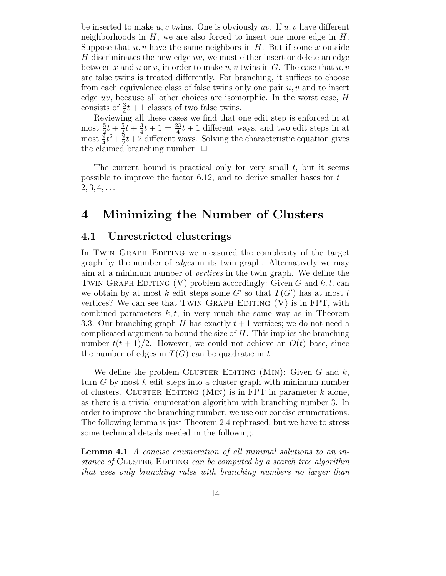be inserted to make  $u, v$  twins. One is obviously uv. If  $u, v$  have different neighborhoods in  $H$ , we are also forced to insert one more edge in  $H$ . Suppose that  $u, v$  have the same neighbors in H. But if some x outside H discriminates the new edge  $uv$ , we must either insert or delete an edge between x and u or v, in order to make u, v twins in G. The case that  $u, v$ are false twins is treated differently. For branching, it suffices to choose from each equivalence class of false twins only one pair  $u, v$  and to insert edge uv, because all other choices are isomorphic. In the worst case, H consists of  $\frac{3}{4}t + 1$  classes of two false twins.

Exists of  $\frac{7}{4}t + 1$  classes of two false twins.<br>Reviewing all these cases we find that one edit step is enforced in at most  $\frac{5}{2}t + \frac{5}{2}$  $\frac{5}{2}t + \frac{3}{4}$  $\frac{3}{4}t+1=\frac{23}{4}t+1$  different ways, and two edit steps in at most  $\frac{5}{4}t^2 + \frac{5}{2}$  $\frac{9}{2}t+2$  different ways. Solving the characteristic equation gives the claimed branching number.  $\Box$ 

The current bound is practical only for very small  $t$ , but it seems possible to improve the factor 6.12, and to derive smaller bases for  $t =$  $2, 3, 4, \ldots$ 

## 4 Minimizing the Number of Clusters

### 4.1 Unrestricted clusterings

In TWIN GRAPH EDITING we measured the complexity of the target graph by the number of edges in its twin graph. Alternatively we may aim at a minimum number of vertices in the twin graph. We define the TWIN GRAPH EDITING  $(V)$  problem accordingly: Given G and k, t, can we obtain by at most k edit steps some  $G'$  so that  $T(G')$  has at most t vertices? We can see that TWIN GRAPH EDITING  $(V)$  is in FPT, with combined parameters  $k, t$ , in very much the same way as in Theorem 3.3. Our branching graph  $H$  has exactly  $t + 1$  vertices; we do not need a complicated argument to bound the size of  $H$ . This implies the branching number  $t(t + 1)/2$ . However, we could not achieve an  $O(t)$  base, since the number of edges in  $T(G)$  can be quadratic in t.

We define the problem CLUSTER EDITING (MIN): Given G and  $k$ , turn  $G$  by most  $k$  edit steps into a cluster graph with minimum number of clusters. CLUSTER EDITING (MIN) is in FPT in parameter  $k$  alone, as there is a trivial enumeration algorithm with branching number 3. In order to improve the branching number, we use our concise enumerations. The following lemma is just Theorem 2.4 rephrased, but we have to stress some technical details needed in the following.

Lemma 4.1 A concise enumeration of all minimal solutions to an instance of CLUSTER EDITING can be computed by a search tree algorithm that uses only branching rules with branching numbers no larger than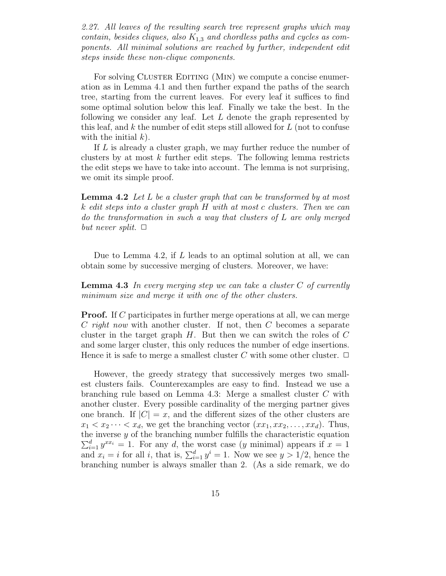2.27. All leaves of the resulting search tree represent graphs which may contain, besides cliques, also  $K_{1,3}$  and chordless paths and cycles as components. All minimal solutions are reached by further, independent edit steps inside these non-clique components.

For solving CLUSTER EDITING (MIN) we compute a concise enumeration as in Lemma 4.1 and then further expand the paths of the search tree, starting from the current leaves. For every leaf it suffices to find some optimal solution below this leaf. Finally we take the best. In the following we consider any leaf. Let  $L$  denote the graph represented by this leaf, and  $k$  the number of edit steps still allowed for  $L$  (not to confuse with the initial  $k$ ).

If L is already a cluster graph, we may further reduce the number of clusters by at most  $k$  further edit steps. The following lemma restricts the edit steps we have to take into account. The lemma is not surprising, we omit its simple proof.

**Lemma 4.2** Let L be a cluster graph that can be transformed by at most k edit steps into a cluster graph H with at most c clusters. Then we can do the transformation in such a way that clusters of L are only merged but never split.  $\Box$ 

Due to Lemma 4.2, if L leads to an optimal solution at all, we can obtain some by successive merging of clusters. Moreover, we have:

**Lemma 4.3** In every merging step we can take a cluster  $C$  of currently minimum size and merge it with one of the other clusters.

**Proof.** If C participates in further merge operations at all, we can merge C right now with another cluster. If not, then C becomes a separate cluster in the target graph  $H$ . But then we can switch the roles of  $C$ and some larger cluster, this only reduces the number of edge insertions. Hence it is safe to merge a smallest cluster C with some other cluster.  $\Box$ 

However, the greedy strategy that successively merges two smallest clusters fails. Counterexamples are easy to find. Instead we use a branching rule based on Lemma 4.3: Merge a smallest cluster C with another cluster. Every possible cardinality of the merging partner gives one branch. If  $|C| = x$ , and the different sizes of the other clusters are  $x_1 < x_2 \cdots < x_d$ , we get the branching vector  $(xx_1, xx_2, \ldots, xx_d)$ . Thus, the inverse y of the branching number fulfills the characteristic equation  $\sum_{i=1}^{d} y^{xx_i} = 1$ . For any d, the worst case (y minimal) appears if  $x = 1$ and  $x_i = i$  for all i, that is,  $\sum_{i=1}^d y^i = 1$ . Now we see  $y > 1/2$ , hence the branching number is always smaller than 2. (As a side remark, we do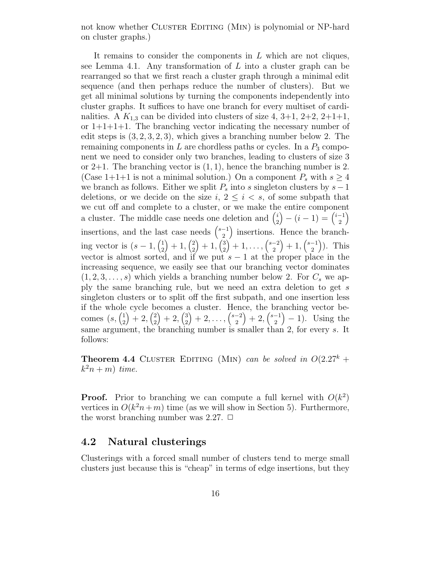not know whether CLUSTER EDITING (MIN) is polynomial or NP-hard on cluster graphs.)

It remains to consider the components in  $L$  which are not cliques, see Lemma 4.1. Any transformation of L into a cluster graph can be rearranged so that we first reach a cluster graph through a minimal edit sequence (and then perhaps reduce the number of clusters). But we get all minimal solutions by turning the components independently into cluster graphs. It suffices to have one branch for every multiset of cardinalities. A  $K_{1,3}$  can be divided into clusters of size 4, 3+1, 2+2, 2+1+1, or  $1+1+1+1$ . The branching vector indicating the necessary number of edit steps is  $(3, 2, 3, 2, 3)$ , which gives a branching number below 2. The remaining components in L are chordless paths or cycles. In a  $P_3$  component we need to consider only two branches, leading to clusters of size 3 or 2+1. The branching vector is  $(1, 1)$ , hence the branching number is 2. (Case 1+1+1 is not a minimal solution.) On a component  $P_s$  with  $s \geq 4$ we branch as follows. Either we split  $P_s$  into s singleton clusters by  $s-1$ deletions, or we decide on the size  $i, 2 \leq i \leq s$ , of some subpath that we cut off and complete to a cluster, or we make the entire component a cluster. The middle case needs one deletion and  $\binom{i}{2}$  $\binom{i}{2} - (i-1) = \binom{i-1}{2}$  $\binom{-1}{2}$ insertions, and the last case needs  $\binom{s-1}{2}$  $\binom{-1}{2}$  insertions. Hence the branching vector is  $(s-1, {1 \choose 2})$  $\binom{1}{2}+1,\binom{2}{2}$  $\binom{2}{2}+1,\binom{3}{2}$  $\binom{3}{2}+1,\ldots,\binom{s-2}{2}$  $\binom{-2}{2}+1, \binom{s-1}{2}$  $\binom{-1}{2}$ ). This vector is almost sorted, and if we put  $s - 1$  at the proper place in the increasing sequence, we easily see that our branching vector dominates  $(1, 2, 3, \ldots, s)$  which yields a branching number below 2. For  $C_s$  we apply the same branching rule, but we need an extra deletion to get s singleton clusters or to split off the first subpath, and one insertion less if the whole cycle becomes a cluster. Hence, the branching vector becomes  $(s, {1 \choose 2})$  $\binom{1}{2}+2,\binom{2}{2}$  $\binom{2}{2}+2,\binom{3}{2}$  ${3 \choose 2} + 2, \ldots, {s-2 \choose 2}$  $\binom{-2}{2}+2,\binom{s-1}{2}$  $\binom{-1}{2}$  – 1). Using the same argument, the branching number is smaller than 2, for every s. It follows:

**Theorem 4.4** CLUSTER EDITING (MIN) can be solved in  $O(2.27^k +$  $k^2n + m$ ) time.

**Proof.** Prior to branching we can compute a full kernel with  $O(k^2)$ vertices in  $O(k^2n+m)$  time (as we will show in Section 5). Furthermore, the worst branching number was 2.27.  $\Box$ 

#### 4.2 Natural clusterings

Clusterings with a forced small number of clusters tend to merge small clusters just because this is "cheap" in terms of edge insertions, but they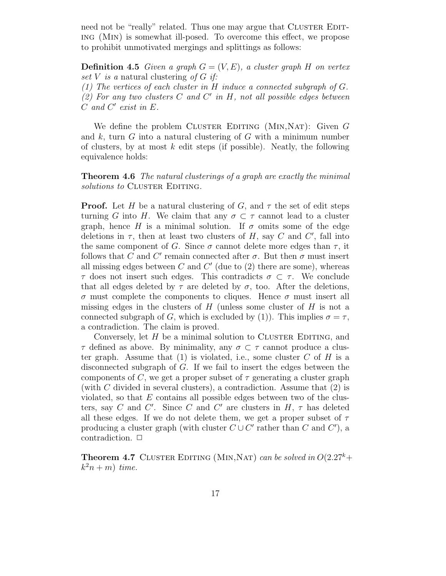need not be "really" related. Thus one may argue that CLUSTER EDITing (Min) is somewhat ill-posed. To overcome this effect, we propose to prohibit unmotivated mergings and splittings as follows:

**Definition 4.5** Given a graph  $G = (V, E)$ , a cluster graph H on vertex set V is a natural clustering of G if:

(1) The vertices of each cluster in H induce a connected subgraph of G.  $(2)$  For any two clusters C and C' in H, not all possible edges between  $\overleftrightarrow{C}$  and  $C'$  exist in E.

We define the problem CLUSTER EDITING (MIN, NAT): Given  $G$ and  $k$ , turn  $G$  into a natural clustering of  $G$  with a minimum number of clusters, by at most  $k$  edit steps (if possible). Neatly, the following equivalence holds:

**Theorem 4.6** The natural clusterings of a graph are exactly the minimal solutions to CLUSTER EDITING.

**Proof.** Let H be a natural clustering of G, and  $\tau$  the set of edit steps turning G into H. We claim that any  $\sigma \subset \tau$  cannot lead to a cluster graph, hence H is a minimal solution. If  $\sigma$  omits some of the edge deletions in  $\tau$ , then at least two clusters of H, say C and C', fall into the same component of G. Since  $\sigma$  cannot delete more edges than  $\tau$ , it follows that  $\overline{C}$  and  $C'$  remain connected after  $\sigma$ . But then  $\sigma$  must insert all missing edges between  $C$  and  $C'$  (due to  $(2)$  there are some), whereas  $\tau$  does not insert such edges. This contradicts  $\sigma \subset \tau$ . We conclude that all edges deleted by  $\tau$  are deleted by  $\sigma$ , too. After the deletions,  $\sigma$  must complete the components to cliques. Hence  $\sigma$  must insert all missing edges in the clusters of  $H$  (unless some cluster of  $H$  is not a connected subgraph of G, which is excluded by (1)). This implies  $\sigma = \tau$ , a contradiction. The claim is proved.

Conversely, let  $H$  be a minimal solution to CLUSTER EDITING, and  $\tau$  defined as above. By minimality, any  $\sigma \subset \tau$  cannot produce a cluster graph. Assume that  $(1)$  is violated, i.e., some cluster C of H is a disconnected subgraph of G. If we fail to insert the edges between the components of C, we get a proper subset of  $\tau$  generating a cluster graph (with C divided in several clusters), a contradiction. Assume that  $(2)$  is violated, so that  $E$  contains all possible edges between two of the clusters, say C and C'. Since C and C' are clusters in  $H$ ,  $\tau$  has deleted all these edges. If we do not delete them, we get a proper subset of  $\tau$ producing a cluster graph (with cluster  $C \cup C'$  rather than C and C'), a contradiction.  $\Box$ 

**Theorem 4.7** CLUSTER EDITING (MIN, NAT) can be solved in  $O(2.27<sup>k</sup>+)$  $k^2n + m$ ) time.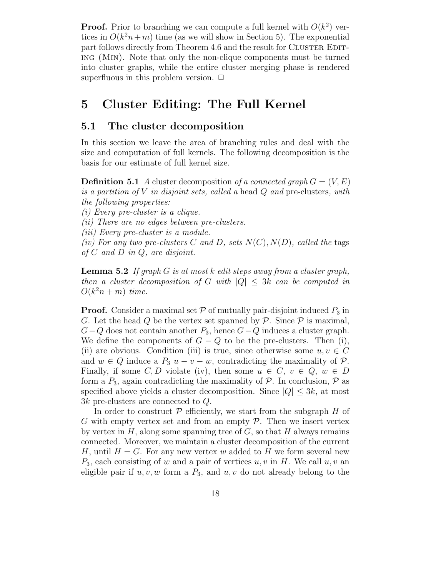**Proof.** Prior to branching we can compute a full kernel with  $O(k^2)$  vertices in  $O(k^2n+m)$  time (as we will show in Section 5). The exponential part follows directly from Theorem 4.6 and the result for CLUSTER EDITing (Min). Note that only the non-clique components must be turned into cluster graphs, while the entire cluster merging phase is rendered superfluous in this problem version.  $\Box$ 

## 5 Cluster Editing: The Full Kernel

### 5.1 The cluster decomposition

In this section we leave the area of branching rules and deal with the size and computation of full kernels. The following decomposition is the basis for our estimate of full kernel size.

**Definition 5.1** A cluster decomposition of a connected graph  $G = (V, E)$ is a partition of  $V$  in disjoint sets, called a head  $Q$  and pre-clusters, with the following properties:

(i) Every pre-cluster is a clique.

(ii) There are no edges between pre-clusters.

(iii) Every pre-cluster is a module.

(iv) For any two pre-clusters C and D, sets  $N(C)$ ,  $N(D)$ , called the tags of C and D in Q, are disjoint.

**Lemma 5.2** If graph  $G$  is at most  $k$  edit steps away from a cluster graph, then a cluster decomposition of G with  $|Q| \leq 3k$  can be computed in  $O(k^2n + m)$  time.

**Proof.** Consider a maximal set  $P$  of mutually pair-disjoint induced  $P_3$  in G. Let the head Q be the vertex set spanned by  $P$ . Since  $P$  is maximal,  $G-Q$  does not contain another  $P_3$ , hence  $G-Q$  induces a cluster graph. We define the components of  $G - Q$  to be the pre-clusters. Then (i), (ii) are obvious. Condition (iii) is true, since otherwise some  $u, v \in C$ and  $w \in Q$  induce a  $P_3 u - v - w$ , contradicting the maximality of  $P$ . Finally, if some C, D violate (iv), then some  $u \in C$ ,  $v \in Q$ ,  $w \in D$ form a  $P_3$ , again contradicting the maximality of  $P$ . In conclusion,  $P$  as specified above yields a cluster decomposition. Since  $|Q| \leq 3k$ , at most 3k pre-clusters are connected to Q.

In order to construct  $P$  efficiently, we start from the subgraph  $H$  of G with empty vertex set and from an empty  $P$ . Then we insert vertex by vertex in  $H$ , along some spanning tree of  $G$ , so that  $H$  always remains connected. Moreover, we maintain a cluster decomposition of the current H, until  $H = G$ . For any new vertex w added to H we form several new  $P_3$ , each consisting of w and a pair of vertices  $u, v$  in H. We call  $u, v$  and eligible pair if  $u, v, w$  form a  $P_3$ , and  $u, v$  do not already belong to the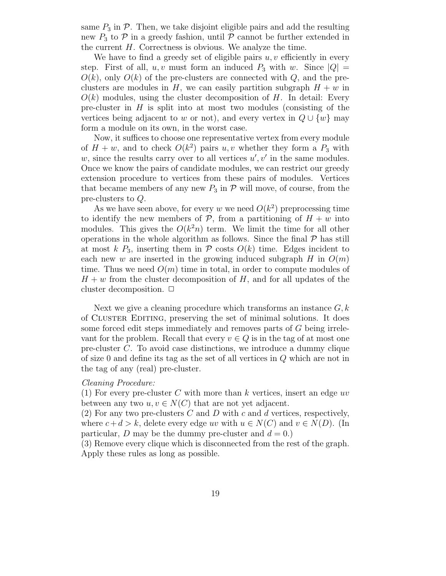same  $P_3$  in  $P$ . Then, we take disjoint eligible pairs and add the resulting new  $P_3$  to  $P$  in a greedy fashion, until  $P$  cannot be further extended in the current H. Correctness is obvious. We analyze the time.

We have to find a greedy set of eligible pairs  $u, v$  efficiently in every step. First of all, u, v must form an induced  $P_3$  with w. Since  $|Q| =$  $O(k)$ , only  $O(k)$  of the pre-clusters are connected with Q, and the preclusters are modules in H, we can easily partition subgraph  $H + w$  in  $O(k)$  modules, using the cluster decomposition of H. In detail: Every pre-cluster in  $H$  is split into at most two modules (consisting of the vertices being adjacent to w or not), and every vertex in  $Q \cup \{w\}$  may form a module on its own, in the worst case.

Now, it suffices to choose one representative vertex from every module of  $H + w$ , and to check  $O(k^2)$  pairs  $u, v$  whether they form a  $P_3$  with w, since the results carry over to all vertices  $u', v'$  in the same modules. Once we know the pairs of candidate modules, we can restrict our greedy extension procedure to vertices from these pairs of modules. Vertices that became members of any new  $P_3$  in  $P$  will move, of course, from the pre-clusters to Q.

As we have seen above, for every w we need  $O(k^2)$  preprocessing time to identify the new members of  $P$ , from a partitioning of  $H + w$  into modules. This gives the  $O(k^2n)$  term. We limit the time for all other operations in the whole algorithm as follows. Since the final  $P$  has still at most k  $P_3$ , inserting them in  $P$  costs  $O(k)$  time. Edges incident to each new w are inserted in the growing induced subgraph  $H$  in  $O(m)$ time. Thus we need  $O(m)$  time in total, in order to compute modules of  $H + w$  from the cluster decomposition of H, and for all updates of the cluster decomposition.  $\Box$ 

Next we give a cleaning procedure which transforms an instance  $G, k$ of Cluster Editing, preserving the set of minimal solutions. It does some forced edit steps immediately and removes parts of G being irrelevant for the problem. Recall that every  $v \in Q$  is in the tag of at most one pre-cluster C. To avoid case distinctions, we introduce a dummy clique of size 0 and define its tag as the set of all vertices in Q which are not in the tag of any (real) pre-cluster.

#### Cleaning Procedure:

(1) For every pre-cluster C with more than k vertices, insert an edge uv between any two  $u, v \in N(C)$  that are not yet adjacent.

(2) For any two pre-clusters C and D with c and d vertices, respectively, where  $c+d > k$ , delete every edge uv with  $u \in N(C)$  and  $v \in N(D)$ . (In particular, D may be the dummy pre-cluster and  $d = 0$ .

(3) Remove every clique which is disconnected from the rest of the graph. Apply these rules as long as possible.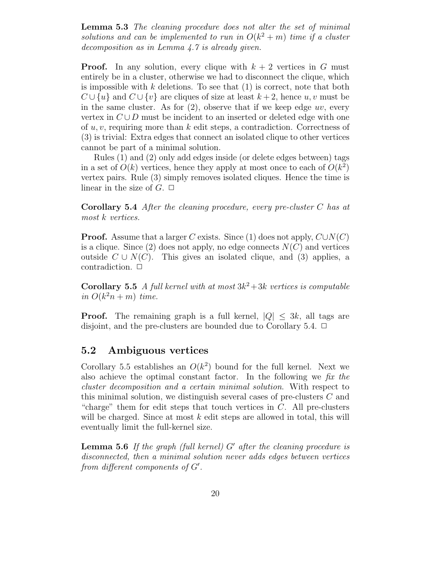Lemma 5.3 The cleaning procedure does not alter the set of minimal solutions and can be implemented to run in  $O(k^2 + m)$  time if a cluster decomposition as in Lemma 4.7 is already given.

**Proof.** In any solution, every clique with  $k + 2$  vertices in G must entirely be in a cluster, otherwise we had to disconnect the clique, which is impossible with  $k$  deletions. To see that  $(1)$  is correct, note that both  $C \cup \{u\}$  and  $C \cup \{v\}$  are cliques of size at least  $k+2$ , hence u, v must be in the same cluster. As for  $(2)$ , observe that if we keep edge uv, every vertex in  $C \cup D$  must be incident to an inserted or deleted edge with one of  $u, v$ , requiring more than  $k$  edit steps, a contradiction. Correctness of (3) is trivial: Extra edges that connect an isolated clique to other vertices cannot be part of a minimal solution.

Rules (1) and (2) only add edges inside (or delete edges between) tags in a set of  $O(k)$  vertices, hence they apply at most once to each of  $O(k^2)$ vertex pairs. Rule (3) simply removes isolated cliques. Hence the time is linear in the size of  $G$ .  $\Box$ 

**Corollary 5.4** After the cleaning procedure, every pre-cluster  $C$  has at most k vertices.

**Proof.** Assume that a larger C exists. Since (1) does not apply,  $C\cup N(C)$ is a clique. Since (2) does not apply, no edge connects  $N(C)$  and vertices outside  $C \cup N(C)$ . This gives an isolated clique, and (3) applies, a contradiction.  $\Box$ 

**Corollary 5.5** A full kernel with at most  $3k^2 + 3k$  vertices is computable in  $O(k^2n + m)$  time.

**Proof.** The remaining graph is a full kernel,  $|Q| \leq 3k$ , all tags are disjoint, and the pre-clusters are bounded due to Corollary 5.4.  $\Box$ 

#### 5.2 Ambiguous vertices

Corollary 5.5 establishes an  $O(k^2)$  bound for the full kernel. Next we also achieve the optimal constant factor. In the following we fix the cluster decomposition and a certain minimal solution. With respect to this minimal solution, we distinguish several cases of pre-clusters C and "charge" them for edit steps that touch vertices in  $C$ . All pre-clusters will be charged. Since at most  $k$  edit steps are allowed in total, this will eventually limit the full-kernel size.

**Lemma 5.6** If the graph (full kernel)  $G'$  after the cleaning procedure is disconnected, then a minimal solution never adds edges between vertices from different components of  $G'$ .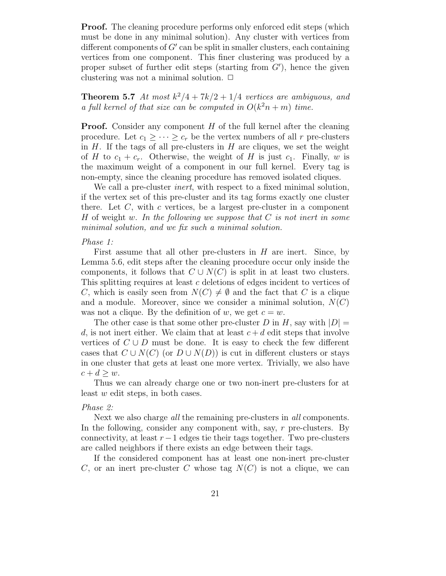**Proof.** The cleaning procedure performs only enforced edit steps (which must be done in any minimal solution). Any cluster with vertices from different components of G' can be split in smaller clusters, each containing vertices from one component. This finer clustering was produced by a proper subset of further edit steps (starting from  $G'$ ), hence the given clustering was not a minimal solution.  $\Box$ 

**Theorem 5.7** At most  $k^2/4 + 7k/2 + 1/4$  vertices are ambiguous, and a full kernel of that size can be computed in  $O(k^2n + m)$  time.

**Proof.** Consider any component  $H$  of the full kernel after the cleaning procedure. Let  $c_1 \geq \cdots \geq c_r$  be the vertex numbers of all r pre-clusters in  $H$ . If the tags of all pre-clusters in  $H$  are cliques, we set the weight of H to  $c_1 + c_r$ . Otherwise, the weight of H is just  $c_1$ . Finally, w is the maximum weight of a component in our full kernel. Every tag is non-empty, since the cleaning procedure has removed isolated cliques.

We call a pre-cluster *inert*, with respect to a fixed minimal solution, if the vertex set of this pre-cluster and its tag forms exactly one cluster there. Let  $C$ , with  $c$  vertices, be a largest pre-cluster in a component H of weight w. In the following we suppose that  $C$  is not inert in some minimal solution, and we fix such a minimal solution.

#### Phase 1:

First assume that all other pre-clusters in  $H$  are inert. Since, by Lemma 5.6, edit steps after the cleaning procedure occur only inside the components, it follows that  $C \cup N(C)$  is split in at least two clusters. This splitting requires at least c deletions of edges incident to vertices of C, which is easily seen from  $N(C) \neq \emptyset$  and the fact that C is a clique and a module. Moreover, since we consider a minimal solution,  $N(C)$ was not a clique. By the definition of w, we get  $c = w$ .

The other case is that some other pre-cluster D in H, say with  $|D|$  = d, is not inert either. We claim that at least  $c + d$  edit steps that involve vertices of  $C \cup D$  must be done. It is easy to check the few different cases that  $C \cup N(C)$  (or  $D \cup N(D)$ ) is cut in different clusters or stays in one cluster that gets at least one more vertex. Trivially, we also have  $c + d > w$ .

Thus we can already charge one or two non-inert pre-clusters for at least w edit steps, in both cases.

#### Phase 2:

Next we also charge *all* the remaining pre-clusters in *all* components. In the following, consider any component with, say,  $r$  pre-clusters. By connectivity, at least  $r-1$  edges tie their tags together. Two pre-clusters are called neighbors if there exists an edge between their tags.

If the considered component has at least one non-inert pre-cluster C, or an inert pre-cluster C whose tag  $N(C)$  is not a clique, we can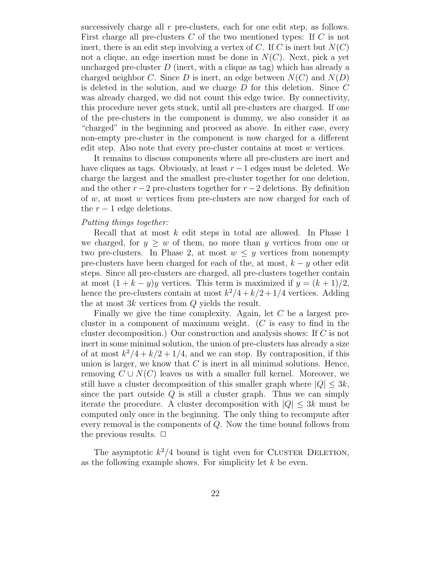successively charge all r pre-clusters, each for one edit step, as follows. First charge all pre-clusters C of the two mentioned types: If C is not inert, there is an edit step involving a vertex of C. If C is inert but  $N(C)$ not a clique, an edge insertion must be done in  $N(C)$ . Next, pick a yet uncharged pre-cluster  $D$  (inert, with a clique as tag) which has already a charged neighbor C. Since D is inert, an edge between  $N(C)$  and  $N(D)$ is deleted in the solution, and we charge D for this deletion. Since C was already charged, we did not count this edge twice. By connectivity, this procedure never gets stuck, until all pre-clusters are charged. If one of the pre-clusters in the component is dummy, we also consider it as "charged" in the beginning and proceed as above. In either case, every non-empty pre-cluster in the component is now charged for a different edit step. Also note that every pre-cluster contains at most w vertices.

It remains to discuss components where all pre-clusters are inert and have cliques as tags. Obviously, at least  $r - 1$  edges must be deleted. We charge the largest and the smallest pre-cluster together for one deletion, and the other  $r-2$  pre-clusters together for  $r-2$  deletions. By definition of w, at most w vertices from pre-clusters are now charged for each of the  $r - 1$  edge deletions.

#### Putting things together:

Recall that at most k edit steps in total are allowed. In Phase 1 we charged, for  $y \geq w$  of them, no more than y vertices from one or two pre-clusters. In Phase 2, at most  $w \leq y$  vertices from nonempty pre-clusters have been charged for each of the, at most,  $k - y$  other edit steps. Since all pre-clusters are charged, all pre-clusters together contain at most  $(1 + k - y)y$  vertices. This term is maximized if  $y = (k + 1)/2$ , hence the pre-clusters contain at most  $k^2/4 + k/2 + 1/4$  vertices. Adding the at most  $3k$  vertices from  $Q$  yields the result.

Finally we give the time complexity. Again, let  $C$  be a largest precluster in a component of maximum weight.  $(C$  is easy to find in the cluster decomposition.) Our construction and analysis shows: If C is not inert in some minimal solution, the union of pre-clusters has already a size of at most  $k^2/4 + k/2 + 1/4$ , and we can stop. By contraposition, if this union is larger, we know that  $C$  is inert in all minimal solutions. Hence, removing  $C \cup N(C)$  leaves us with a smaller full kernel. Moreover, we still have a cluster decomposition of this smaller graph where  $|Q| \leq 3k$ , since the part outside  $Q$  is still a cluster graph. Thus we can simply iterate the procedure. A cluster decomposition with  $|Q| \leq 3k$  must be computed only once in the beginning. The only thing to recompute after every removal is the components of Q. Now the time bound follows from the previous results.  $\Box$ 

The asymptotic  $k^2/4$  bound is tight even for CLUSTER DELETION, as the following example shows. For simplicity let k be even.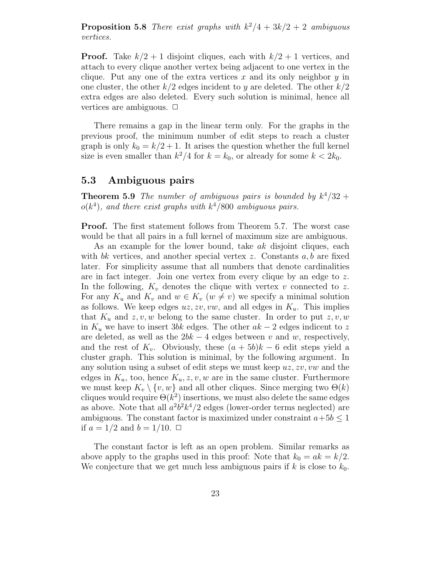**Proposition 5.8** There exist graphs with  $k^2/4 + 3k/2 + 2$  ambiguous vertices.

**Proof.** Take  $k/2 + 1$  disjoint cliques, each with  $k/2 + 1$  vertices, and attach to every clique another vertex being adjacent to one vertex in the clique. Put any one of the extra vertices x and its only neighbor  $\eta$  in one cluster, the other  $k/2$  edges incident to y are deleted. The other  $k/2$ extra edges are also deleted. Every such solution is minimal, hence all vertices are ambiguous.  $\Box$ 

There remains a gap in the linear term only. For the graphs in the previous proof, the minimum number of edit steps to reach a cluster graph is only  $k_0 = k/2 + 1$ . It arises the question whether the full kernel size is even smaller than  $k^2/4$  for  $k = k_0$ , or already for some  $k < 2k_0$ .

### 5.3 Ambiguous pairs

**Theorem 5.9** The number of ambiguous pairs is bounded by  $k^4/32$  +  $o(k^4)$ , and there exist graphs with  $k^4/800$  ambiguous pairs.

Proof. The first statement follows from Theorem 5.7. The worst case would be that all pairs in a full kernel of maximum size are ambiguous.

As an example for the lower bound, take ak disjoint cliques, each with bk vertices, and another special vertex z. Constants  $a, b$  are fixed later. For simplicity assume that all numbers that denote cardinalities are in fact integer. Join one vertex from every clique by an edge to z. In the following,  $K_v$  denotes the clique with vertex v connected to z. For any  $K_u$  and  $K_v$  and  $w \in K_v$   $(w \neq v)$  we specify a minimal solution as follows. We keep edges  $uz, zv, vw$ , and all edges in  $K_u$ . This implies that  $K_u$  and  $z, v, w$  belong to the same cluster. In order to put  $z, v, w$ in  $K_u$  we have to insert 3bk edges. The other  $ak - 2$  edges indicent to z are deleted, as well as the  $2bk - 4$  edges between v and w, respectively, and the rest of  $K_v$ . Obviously, these  $(a + 5b)k - 6$  edit steps yield a cluster graph. This solution is minimal, by the following argument. In any solution using a subset of edit steps we must keep  $uz, zv, vw$  and the edges in  $K_u$ , too, hence  $K_u, z, v, w$  are in the same cluster. Furthermore we must keep  $K_v \setminus \{v, w\}$  and all other cliques. Since merging two  $\Theta(k)$ cliques would require  $\Theta(k^2)$  insertions, we must also delete the same edges as above. Note that all  $a^2b^2k^4/2$  edges (lower-order terms neglected) are ambiguous. The constant factor is maximized under constraint  $a+5b \leq 1$ if  $a = 1/2$  and  $b = 1/10$ .  $\Box$ 

The constant factor is left as an open problem. Similar remarks as above apply to the graphs used in this proof: Note that  $k_0 = ak = k/2$ . We conjecture that we get much less ambiguous pairs if  $k$  is close to  $k_0$ .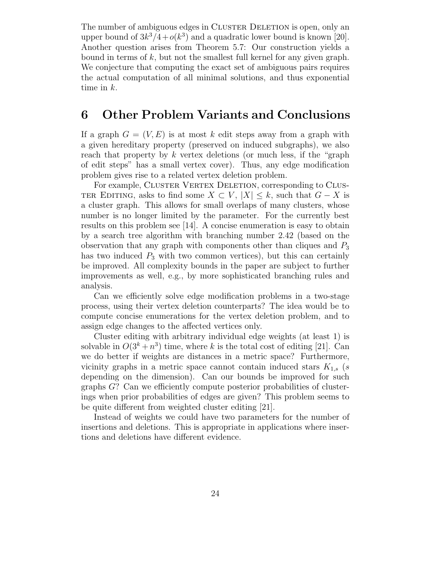The number of ambiguous edges in CLUSTER DELETION is open, only an upper bound of  $3k^3/4 + o(k^3)$  and a quadratic lower bound is known [20]. Another question arises from Theorem 5.7: Our construction yields a bound in terms of k, but not the smallest full kernel for any given graph. We conjecture that computing the exact set of ambiguous pairs requires the actual computation of all minimal solutions, and thus exponential time in k.

### 6 Other Problem Variants and Conclusions

If a graph  $G = (V, E)$  is at most k edit steps away from a graph with a given hereditary property (preserved on induced subgraphs), we also reach that property by  $k$  vertex deletions (or much less, if the "graph" of edit steps" has a small vertex cover). Thus, any edge modification problem gives rise to a related vertex deletion problem.

For example, CLUSTER VERTEX DELETION, corresponding to CLUS-TER EDITING, asks to find some  $X \subset V$ ,  $|X| \leq k$ , such that  $G - X$  is a cluster graph. This allows for small overlaps of many clusters, whose number is no longer limited by the parameter. For the currently best results on this problem see [14]. A concise enumeration is easy to obtain by a search tree algorithm with branching number 2.42 (based on the observation that any graph with components other than cliques and  $P_3$ has two induced  $P_3$  with two common vertices), but this can certainly be improved. All complexity bounds in the paper are subject to further improvements as well, e.g., by more sophisticated branching rules and analysis.

Can we efficiently solve edge modification problems in a two-stage process, using their vertex deletion counterparts? The idea would be to compute concise enumerations for the vertex deletion problem, and to assign edge changes to the affected vertices only.

Cluster editing with arbitrary individual edge weights (at least 1) is solvable in  $O(3^k + n^3)$  time, where k is the total cost of editing [21]. Can we do better if weights are distances in a metric space? Furthermore, vicinity graphs in a metric space cannot contain induced stars  $K_{1,s}$  (s depending on the dimension). Can our bounds be improved for such graphs G? Can we efficiently compute posterior probabilities of clusterings when prior probabilities of edges are given? This problem seems to be quite different from weighted cluster editing [21].

Instead of weights we could have two parameters for the number of insertions and deletions. This is appropriate in applications where insertions and deletions have different evidence.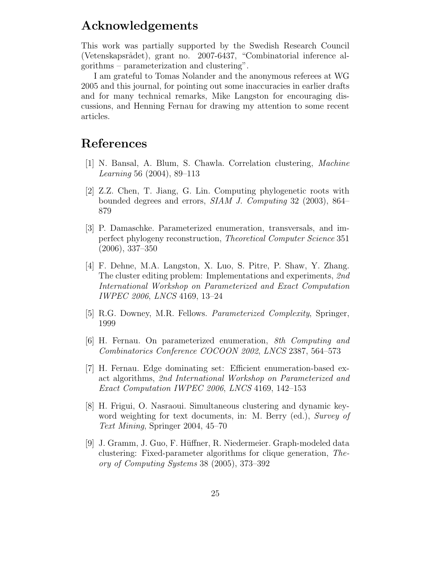### Acknowledgements

This work was partially supported by the Swedish Research Council (Vetenskapsrådet), grant no. 2007-6437, "Combinatorial inference algorithms – parameterization and clustering".

I am grateful to Tomas Nolander and the anonymous referees at WG 2005 and this journal, for pointing out some inaccuracies in earlier drafts and for many technical remarks, Mike Langston for encouraging discussions, and Henning Fernau for drawing my attention to some recent articles.

## References

- [1] N. Bansal, A. Blum, S. Chawla. Correlation clustering, Machine Learning 56 (2004), 89–113
- [2] Z.Z. Chen, T. Jiang, G. Lin. Computing phylogenetic roots with bounded degrees and errors, SIAM J. Computing 32 (2003), 864– 879
- [3] P. Damaschke. Parameterized enumeration, transversals, and imperfect phylogeny reconstruction, Theoretical Computer Science 351 (2006), 337–350
- [4] F. Dehne, M.A. Langston, X. Luo, S. Pitre, P. Shaw, Y. Zhang. The cluster editing problem: Implementations and experiments, 2nd International Workshop on Parameterized and Exact Computation IWPEC 2006, LNCS 4169, 13–24
- [5] R.G. Downey, M.R. Fellows. Parameterized Complexity, Springer, 1999
- [6] H. Fernau. On parameterized enumeration, 8th Computing and Combinatorics Conference COCOON 2002, LNCS 2387, 564–573
- [7] H. Fernau. Edge dominating set: Efficient enumeration-based exact algorithms, 2nd International Workshop on Parameterized and Exact Computation IWPEC 2006, LNCS 4169, 142–153
- [8] H. Frigui, O. Nasraoui. Simultaneous clustering and dynamic keyword weighting for text documents, in: M. Berry (ed.), Survey of Text Mining, Springer 2004, 45–70
- [9] J. Gramm, J. Guo, F. H¨uffner, R. Niedermeier. Graph-modeled data clustering: Fixed-parameter algorithms for clique generation, Theory of Computing Systems 38 (2005), 373–392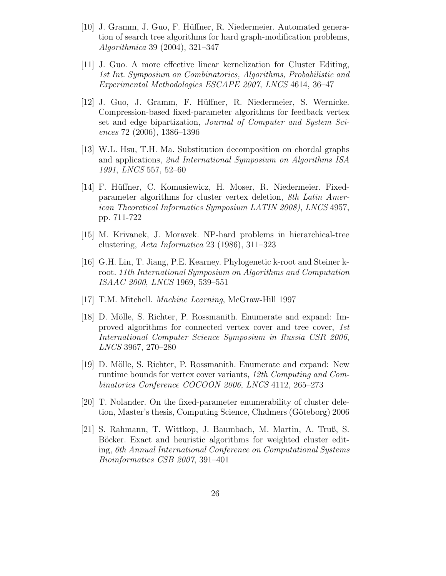- [10] J. Gramm, J. Guo, F. Hüffner, R. Niedermeier. Automated generation of search tree algorithms for hard graph-modification problems, Algorithmica 39 (2004), 321–347
- [11] J. Guo. A more effective linear kernelization for Cluster Editing, 1st Int. Symposium on Combinatorics, Algorithms, Probabilistic and Experimental Methodologies ESCAPE 2007, LNCS 4614, 36–47
- [12] J. Guo, J. Gramm, F. Hüffner, R. Niedermeier, S. Wernicke. Compression-based fixed-parameter algorithms for feedback vertex set and edge bipartization, Journal of Computer and System Sciences 72 (2006), 1386–1396
- [13] W.L. Hsu, T.H. Ma. Substitution decomposition on chordal graphs and applications, 2nd International Symposium on Algorithms ISA 1991, LNCS 557, 52–60
- [14] F. Hüffner, C. Komusiewicz, H. Moser, R. Niedermeier. Fixedparameter algorithms for cluster vertex deletion, 8th Latin American Theoretical Informatics Symposium LATIN 2008), LNCS 4957, pp. 711-722
- [15] M. Krivanek, J. Moravek. NP-hard problems in hierarchical-tree clustering, Acta Informatica 23 (1986), 311–323
- [16] G.H. Lin, T. Jiang, P.E. Kearney. Phylogenetic k-root and Steiner kroot. 11th International Symposium on Algorithms and Computation ISAAC 2000, LNCS 1969, 539–551
- [17] T.M. Mitchell. Machine Learning, McGraw-Hill 1997
- [18] D. Mölle, S. Richter, P. Rossmanith. Enumerate and expand: Improved algorithms for connected vertex cover and tree cover, 1st International Computer Science Symposium in Russia CSR 2006, LNCS 3967, 270–280
- [19] D. Mölle, S. Richter, P. Rossmanith. Enumerate and expand: New runtime bounds for vertex cover variants, 12th Computing and Combinatorics Conference COCOON 2006, LNCS 4112, 265–273
- [20] T. Nolander. On the fixed-parameter enumerability of cluster deletion, Master's thesis, Computing Science, Chalmers (Göteborg) 2006
- [21] S. Rahmann, T. Wittkop, J. Baumbach, M. Martin, A. Truß, S. Böcker. Exact and heuristic algorithms for weighted cluster editing, 6th Annual International Conference on Computational Systems Bioinformatics CSB 2007, 391–401